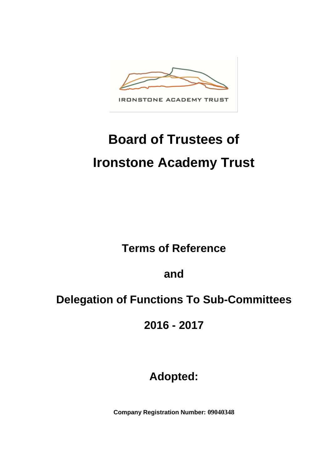

**IRONSTONE ACADEMY TRUST** 

# **Board of Trustees of Ironstone Academy Trust**

**Terms of Reference**

**and**

# **Delegation of Functions To Sub-Committees**

**2016 - 2017**

# **Adopted:**

**Company Registration Number: 09040348**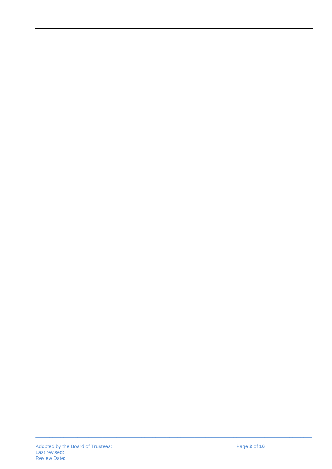$\_$  , and the state of the state of the state of the state of the state of the state of the state of the state of the state of the state of the state of the state of the state of the state of the state of the state of the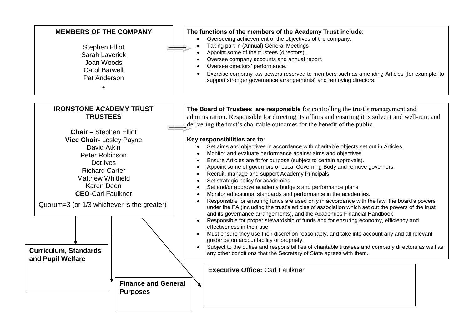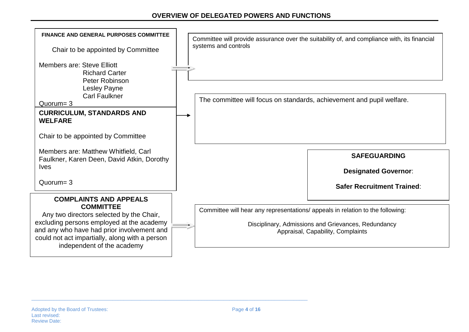

 $\_$  ,  $\_$  ,  $\_$  ,  $\_$  ,  $\_$  ,  $\_$  ,  $\_$  ,  $\_$  ,  $\_$  ,  $\_$  ,  $\_$  ,  $\_$  ,  $\_$  ,  $\_$  ,  $\_$  ,  $\_$  ,  $\_$  ,  $\_$  ,  $\_$  ,  $\_$  ,  $\_$  ,  $\_$  ,  $\_$  ,  $\_$  ,  $\_$  ,  $\_$  ,  $\_$  ,  $\_$  ,  $\_$  ,  $\_$  ,  $\_$  ,  $\_$  ,  $\_$  ,  $\_$  ,  $\_$  ,  $\_$  ,  $\_$  ,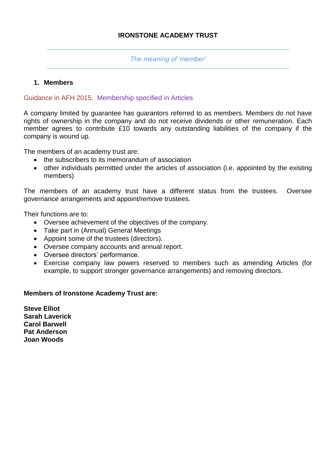# **IRONSTONE ACADEMY TRUST**

#### *The meaning of 'member'*

# **1. Members**

# Guidance in AFH 2015. Membership specified in Articles

A company limited by guarantee has guarantors referred to as members. Members do not have rights of ownership in the company and do not receive dividends or other remuneration. Each member agrees to contribute £10 towards any outstanding liabilities of the company if the company is wound up.

The members of an academy trust are:

- the subscribers to its memorandum of association
- other individuals permitted under the articles of association (i.e. appointed by the existing members)

The members of an academy trust have a different status from the trustees. Oversee governance arrangements and appoint/remove trustees.

Their functions are to:

- Oversee achievement of the objectives of the company.
- Take part in (Annual) General Meetings
- Appoint some of the trustees (directors).
- Oversee company accounts and annual report.
- Oversee directors' performance.
- Exercise company law powers reserved to members such as amending Articles (for example, to support stronger governance arrangements) and removing directors.

### **Members of Ironstone Academy Trust are:**

**Steve Elliot Sarah Laverick Carol Barwell Pat Anderson Joan Woods**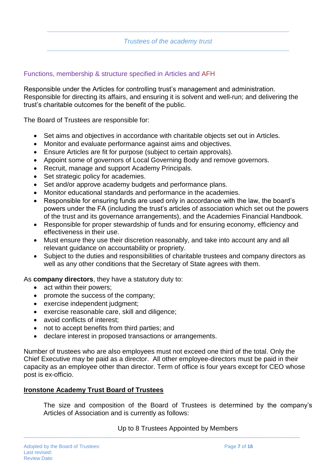# Functions, membership & structure specified in Articles and AFH

Responsible under the Articles for controlling trust's management and administration. Responsible for directing its affairs, and ensuring it is solvent and well-run; and delivering the trust's charitable outcomes for the benefit of the public.

The Board of Trustees are responsible for:

- Set aims and objectives in accordance with charitable objects set out in Articles.
- Monitor and evaluate performance against aims and objectives.
- Ensure Articles are fit for purpose (subject to certain approvals).
- Appoint some of governors of Local Governing Body and remove governors.
- Recruit, manage and support Academy Principals.
- Set strategic policy for academies.
- Set and/or approve academy budgets and performance plans.
- Monitor educational standards and performance in the academies.
- Responsible for ensuring funds are used only in accordance with the law, the board's powers under the FA (including the trust's articles of association which set out the powers of the trust and its governance arrangements), and the Academies Financial Handbook.
- Responsible for proper stewardship of funds and for ensuring economy, efficiency and effectiveness in their use.
- Must ensure they use their discretion reasonably, and take into account any and all relevant guidance on accountability or propriety.
- Subject to the duties and responsibilities of charitable trustees and company directors as well as any other conditions that the Secretary of State agrees with them.

As **company directors**, they have a statutory duty to:

- act within their powers:
- promote the success of the company;
- exercise independent judgment;
- exercise reasonable care, skill and diligence;
- avoid conflicts of interest;
- not to accept benefits from third parties; and
- declare interest in proposed transactions or arrangements.

Number of trustees who are also employees must not exceed one third of the total. Only the Chief Executive may be paid as a director. All other employee-directors must be paid in their capacity as an employee other than director. Term of office is four years except for CEO whose post is ex-officio.

#### **Ironstone Academy Trust Board of Trustees**

The size and composition of the Board of Trustees is determined by the company's Articles of Association and is currently as follows:

Up to 8 Trustees Appointed by Members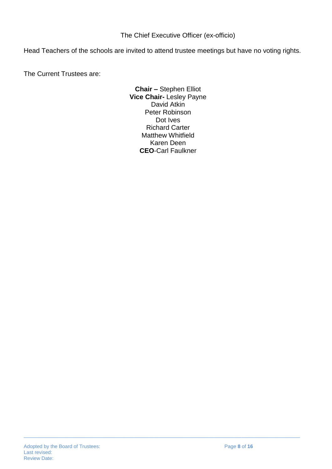The Chief Executive Officer (ex-officio)

Head Teachers of the schools are invited to attend trustee meetings but have no voting rights.

The Current Trustees are:

**Chair –** Stephen Elliot **Vice Chair-** Lesley Payne David Atkin Peter Robinson Dot Ives Richard Carter Matthew Whitfield Karen Deen **CEO**-Carl Faulkner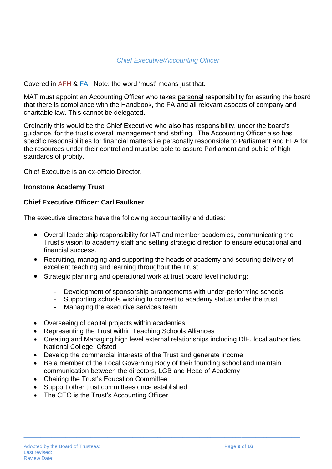Covered in AFH & FA. Note: the word 'must' means just that.

MAT must appoint an Accounting Officer who takes personal responsibility for assuring the board that there is compliance with the Handbook, the FA and all relevant aspects of company and charitable law. This cannot be delegated.

Ordinarily this would be the Chief Executive who also has responsibility, under the board's guidance, for the trust's overall management and staffing. The Accounting Officer also has specific responsibilities for financial matters i.e personally responsible to Parliament and EFA for the resources under their control and must be able to assure Parliament and public of high standards of probity.

Chief Executive is an ex-officio Director.

### **Ironstone Academy Trust**

#### **Chief Executive Officer: Carl Faulkner**

The executive directors have the following accountability and duties:

- Overall leadership responsibility for IAT and member academies, communicating the Trust's vision to academy staff and setting strategic direction to ensure educational and financial success.
- Recruiting, managing and supporting the heads of academy and securing delivery of excellent teaching and learning throughout the Trust
- Strategic planning and operational work at trust board level including:
	- Development of sponsorship arrangements with under-performing schools
	- Supporting schools wishing to convert to academy status under the trust
	- Managing the executive services team
- Overseeing of capital projects within academies
- Representing the Trust within Teaching Schools Alliances
- Creating and Managing high level external relationships including DfE, local authorities, National College, Ofsted
- Develop the commercial interests of the Trust and generate income
- Be a member of the Local Governing Body of their founding school and maintain communication between the directors, LGB and Head of Academy

- Chairing the Trust's Education Committee
- Support other trust committees once established
- The CEO is the Trust's Accounting Officer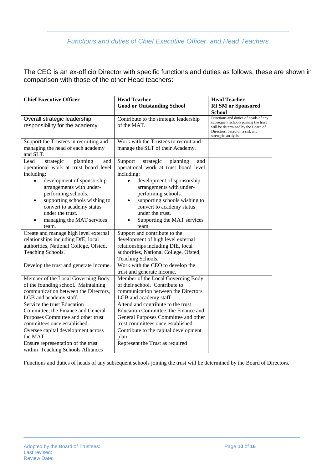# *Functions and duties of Chief Executive Officer, and Head Teachers*

The CEO is an ex-officio Director with specific functions and duties as follows, these are shown in comparison with those of the other Head teachers:

| <b>Chief Executive Officer</b>             | <b>Head Teacher</b>                        | <b>Head Teacher</b>                                                  |
|--------------------------------------------|--------------------------------------------|----------------------------------------------------------------------|
|                                            | <b>Good or Outstanding School</b>          | <b>RI SM</b> or Sponsored                                            |
|                                            |                                            | School                                                               |
| Overall strategic leadership               | Contribute to the strategic leadership     | Functions and duties of heads of any                                 |
| responsibility for the academy.            | of the MAT.                                | subsequent schools joining the trust                                 |
|                                            |                                            | will be determined by the Board of<br>Directors, based on a risk and |
|                                            |                                            | strengths analysis                                                   |
| Support the Trustees in recruiting and     | Work with the Trustees to recruit and      |                                                                      |
| managing the head of each academy          | manage the SLT of their Academy.           |                                                                      |
| and SLT.                                   |                                            |                                                                      |
| planning<br>strategic<br>Lead<br>and       | Support<br>strategic<br>planning<br>and    |                                                                      |
| operational work at trust board level      | operational work at trust board level      |                                                                      |
| including:                                 | including:                                 |                                                                      |
| development of sponsorship                 | development of sponsorship                 |                                                                      |
| arrangements with under-                   | arrangements with under-                   |                                                                      |
| performing schools.                        | performing schools.                        |                                                                      |
| supporting schools wishing to<br>$\bullet$ | supporting schools wishing to<br>$\bullet$ |                                                                      |
| convert to academy status                  | convert to academy status                  |                                                                      |
| under the trust.                           | under the trust.                           |                                                                      |
| managing the MAT services                  | Supporting the MAT services                |                                                                      |
| team.                                      | team.                                      |                                                                      |
| Create and manage high level external      | Support and contribute to the              |                                                                      |
| relationships including DfE, local         | development of high level external         |                                                                      |
| authorities, National College, Ofsted,     | relationships including DfE, local         |                                                                      |
| Teaching Schools.                          | authorities, National College, Ofsted,     |                                                                      |
|                                            | Teaching Schools.                          |                                                                      |
| Develop the trust and generate income.     | Work with the CEO to develop the           |                                                                      |
|                                            | trust and generate income.                 |                                                                      |
| Member of the Local Governing Body         | Member of the Local Governing Body         |                                                                      |
| of the founding school. Maintaining        | of their school. Contribute to             |                                                                      |
| communication between the Directors,       | communication between the Directors,       |                                                                      |
| LGB and academy staff.                     | LGB and academy staff.                     |                                                                      |
| Service the trust Education                | Attend and contribute to the trust         |                                                                      |
| Committee, the Finance and General         | Education Committee, the Finance and       |                                                                      |
| Purposes Committee and other trust         | General Purposes Committee and other       |                                                                      |
| committees once established.               | trust committees once established.         |                                                                      |
| Oversee capital development across         | Contribute to the capital development      |                                                                      |
| the MAT.                                   | plan                                       |                                                                      |
| Ensure representation of the trust         | Represent the Trust as required            |                                                                      |
| within Teaching Schools Alliances          |                                            |                                                                      |

Functions and duties of heads of any subsequent schools joining the trust will be determined by the Board of Directors.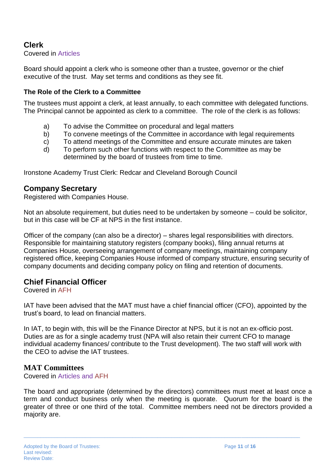# **Clerk**

Covered in Articles

Board should appoint a clerk who is someone other than a trustee, governor or the chief executive of the trust. May set terms and conditions as they see fit.

# **The Role of the Clerk to a Committee**

The trustees must appoint a clerk, at least annually, to each committee with delegated functions. The Principal cannot be appointed as clerk to a committee. The role of the clerk is as follows:

- a) To advise the Committee on procedural and legal matters
- b) To convene meetings of the Committee in accordance with legal requirements
- c) To attend meetings of the Committee and ensure accurate minutes are taken
- d) To perform such other functions with respect to the Committee as may be determined by the board of trustees from time to time.

Ironstone Academy Trust Clerk: Redcar and Cleveland Borough Council

# **Company Secretary**

Registered with Companies House.

Not an absolute requirement, but duties need to be undertaken by someone – could be solicitor, but in this case will be CF at NPS in the first instance.

Officer of the company (can also be a director) – shares legal responsibilities with directors. Responsible for maintaining statutory registers (company books), filing annual returns at Companies House, overseeing arrangement of company meetings, maintaining company registered office, keeping Companies House informed of company structure, ensuring security of company documents and deciding company policy on filing and retention of documents.

# **Chief Financial Officer**

Covered in AFH

IAT have been advised that the MAT must have a chief financial officer (CFO), appointed by the trust's board, to lead on financial matters.

In IAT, to begin with, this will be the Finance Director at NPS, but it is not an ex-officio post. Duties are as for a single academy trust (NPA will also retain their current CFO to manage individual academy finances/ contribute to the Trust development). The two staff will work with the CEO to advise the IAT trustees.

# **MAT Committees**

Covered in Articles and AFH

The board and appropriate (determined by the directors) committees must meet at least once a term and conduct business only when the meeting is quorate. Quorum for the board is the greater of three or one third of the total. Committee members need not be directors provided a majority are.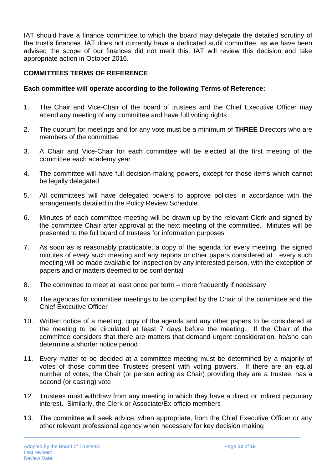IAT should have a finance committee to which the board may delegate the detailed scrutiny of the trust's finances. IAT does not currently have a dedicated audit committee, as we have been advised the scope of our finances did not merit this. IAT will review this decision and take appropriate action in October 2016.

# **COMMITTEES TERMS OF REFERENCE**

### **Each committee will operate according to the following Terms of Reference:**

- 1. The Chair and Vice-Chair of the board of trustees and the Chief Executive Officer may attend any meeting of any committee and have full voting rights
- 2. The quorum for meetings and for any vote must be a minimum of **THREE** Directors who are members of the committee
- 3. A Chair and Vice-Chair for each committee will be elected at the first meeting of the committee each academy year
- 4. The committee will have full decision-making powers, except for those items which cannot be legally delegated
- 5. All committees will have delegated powers to approve policies in accordance with the arrangements detailed in the Policy Review Schedule.
- 6. Minutes of each committee meeting will be drawn up by the relevant Clerk and signed by the committee Chair after approval at the next meeting of the committee. Minutes will be presented to the full board of trustees for information purposes
- 7. As soon as is reasonably practicable, a copy of the agenda for every meeting, the signed minutes of every such meeting and any reports or other papers considered at every such meeting will be made available for inspection by any interested person, with the exception of papers and or matters deemed to be confidential
- 8. The committee to meet at least once per term more frequently if necessary
- 9. The agendas for committee meetings to be compiled by the Chair of the committee and the Chief Executive Officer
- 10. Written notice of a meeting, copy of the agenda and any other papers to be considered at the meeting to be circulated at least 7 days before the meeting. If the Chair of the committee considers that there are matters that demand urgent consideration, he/she can determine a shorter notice period
- 11. Every matter to be decided at a committee meeting must be determined by a majority of votes of those committee Trustees present with voting powers. If there are an equal number of votes, the Chair (or person acting as Chair) providing they are a trustee, has a second (or casting) vote
- 12. Trustees must withdraw from any meeting in which they have a direct or indirect pecuniary interest. Similarly, the Clerk or Associate/Ex-officio members
- 13. The committee will seek advice, when appropriate, from the Chief Executive Officer or any other relevant professional agency when necessary for key decision making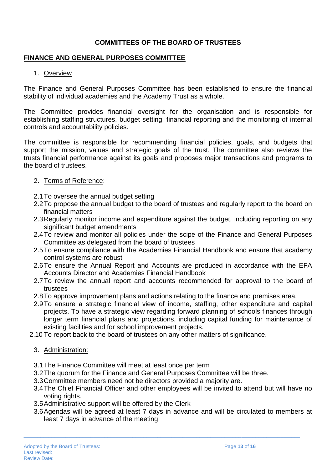# **COMMITTEES OF THE BOARD OF TRUSTEES**

# **FINANCE AND GENERAL PURPOSES COMMITTEE**

# 1. Overview

The Finance and General Purposes Committee has been established to ensure the financial stability of individual academies and the Academy Trust as a whole.

The Committee provides financial oversight for the organisation and is responsible for establishing staffing structures, budget setting, financial reporting and the monitoring of internal controls and accountability policies.

The committee is responsible for recommending financial policies, goals, and budgets that support the mission, values and strategic goals of the trust. The committee also reviews the trusts financial performance against its goals and proposes major transactions and programs to the board of trustees.

# 2. Terms of Reference:

- 2.1To oversee the annual budget setting
- 2.2To propose the annual budget to the board of trustees and regularly report to the board on financial matters
- 2.3Regularly monitor income and expenditure against the budget, including reporting on any significant budget amendments
- 2.4To review and monitor all policies under the scipe of the Finance and General Purposes Committee as delegated from the board of trustees
- 2.5To ensure compliance with the Academies Financial Handbook and ensure that academy control systems are robust
- 2.6To ensure the Annual Report and Accounts are produced in accordance with the EFA Accounts Director and Academies Financial Handbook
- 2.7To review the annual report and accounts recommended for approval to the board of trustees
- 2.8To approve improvement plans and actions relating to the finance and premises area.
- 2.9To ensure a strategic financial view of income, staffing, other expenditure and capital projects. To have a strategic view regarding forward planning of schools finances through longer term financial plans and projections, including capital funding for maintenance of existing facilities and for school improvement projects.
- 2.10 To report back to the board of trustees on any other matters of significance.
	- 3. Administration:
	- 3.1The Finance Committee will meet at least once per term
	- 3.2The quorum for the Finance and General Purposes Committee will be three.
	- 3.3Committee members need not be directors provided a majority are.
	- 3.4The Chief Financial Officer and other employees will be invited to attend but will have no voting rights.
	- 3.5Administrative support will be offered by the Clerk
	- 3.6Agendas will be agreed at least 7 days in advance and will be circulated to members at least 7 days in advance of the meeting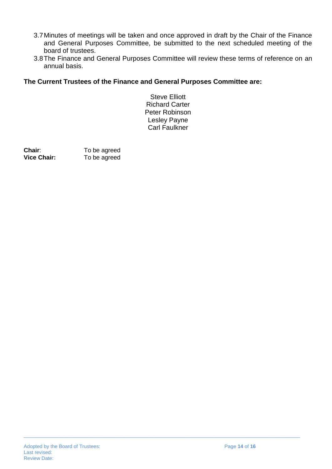- 3.7Minutes of meetings will be taken and once approved in draft by the Chair of the Finance and General Purposes Committee, be submitted to the next scheduled meeting of the board of trustees.
- 3.8The Finance and General Purposes Committee will review these terms of reference on an annual basis.

# **The Current Trustees of the Finance and General Purposes Committee are:**

Steve Elliott Richard Carter Peter Robinson Lesley Payne Carl Faulkner

\_\_\_\_\_\_\_\_\_\_\_\_\_\_\_\_\_\_\_\_\_\_\_\_\_\_\_\_\_\_\_\_\_\_\_\_\_\_\_\_\_\_\_\_\_\_\_\_\_\_\_\_\_\_\_\_\_\_\_\_\_\_\_\_\_\_\_\_\_\_\_\_\_\_\_\_\_\_\_\_\_\_\_\_\_\_\_\_\_\_\_\_\_\_\_\_\_\_\_

**Chair:** To be agreed<br> **Vice Chair:** To be agreed **Vice Chair:** To be agreed